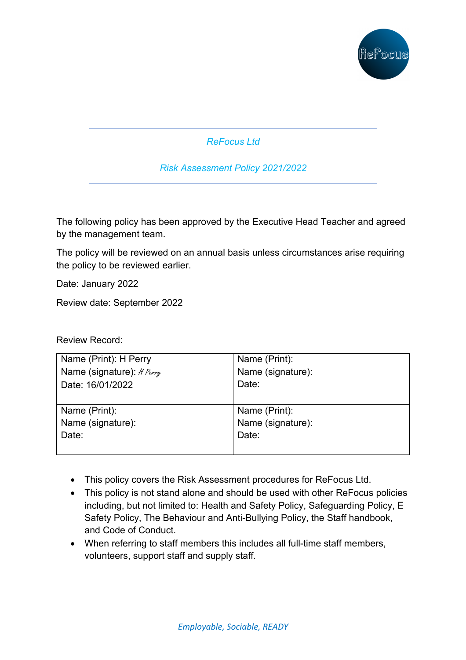

*ReFocus Ltd* 

*Risk Assessment Policy 2021/2022*

The following policy has been approved by the Executive Head Teacher and agreed by the management team.

The policy will be reviewed on an annual basis unless circumstances arise requiring the policy to be reviewed earlier.

Date: January 2022

Review date: September 2022

Review Record:

| Name (Print): H Perry     | Name (Print):     |
|---------------------------|-------------------|
| Name (signature): # Perry | Name (signature): |
| Date: 16/01/2022          | Date:             |
|                           |                   |
| Name (Print):             | Name (Print):     |
| Name (signature):         | Name (signature): |
| Date:                     | Date:             |
|                           |                   |

- This policy covers the Risk Assessment procedures for ReFocus Ltd.
- This policy is not stand alone and should be used with other ReFocus policies including, but not limited to: Health and Safety Policy, Safeguarding Policy, E Safety Policy, The Behaviour and Anti-Bullying Policy, the Staff handbook, and Code of Conduct.
- When referring to staff members this includes all full-time staff members, volunteers, support staff and supply staff.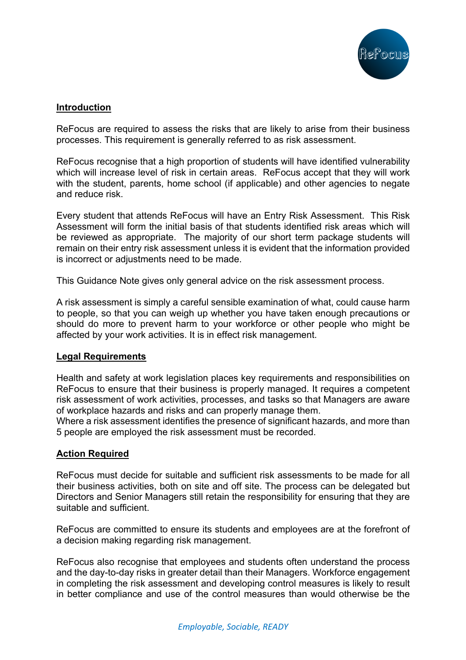

#### **Introduction**

ReFocus are required to assess the risks that are likely to arise from their business processes. This requirement is generally referred to as risk assessment.

ReFocus recognise that a high proportion of students will have identified vulnerability which will increase level of risk in certain areas. ReFocus accept that they will work with the student, parents, home school (if applicable) and other agencies to negate and reduce risk.

Every student that attends ReFocus will have an Entry Risk Assessment. This Risk Assessment will form the initial basis of that students identified risk areas which will be reviewed as appropriate. The majority of our short term package students will remain on their entry risk assessment unless it is evident that the information provided is incorrect or adjustments need to be made.

This Guidance Note gives only general advice on the risk assessment process.

A risk assessment is simply a careful sensible examination of what, could cause harm to people, so that you can weigh up whether you have taken enough precautions or should do more to prevent harm to your workforce or other people who might be affected by your work activities. It is in effect risk management.

#### **Legal Requirements**

Health and safety at work legislation places key requirements and responsibilities on ReFocus to ensure that their business is properly managed. It requires a competent risk assessment of work activities, processes, and tasks so that Managers are aware of workplace hazards and risks and can properly manage them.

Where a risk assessment identifies the presence of significant hazards, and more than 5 people are employed the risk assessment must be recorded.

#### **Action Required**

ReFocus must decide for suitable and sufficient risk assessments to be made for all their business activities, both on site and off site. The process can be delegated but Directors and Senior Managers still retain the responsibility for ensuring that they are suitable and sufficient.

ReFocus are committed to ensure its students and employees are at the forefront of a decision making regarding risk management.

ReFocus also recognise that employees and students often understand the process and the day-to-day risks in greater detail than their Managers. Workforce engagement in completing the risk assessment and developing control measures is likely to result in better compliance and use of the control measures than would otherwise be the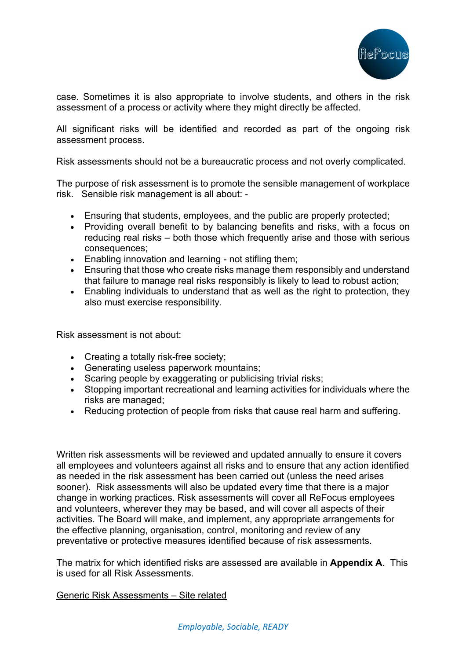

case. Sometimes it is also appropriate to involve students, and others in the risk assessment of a process or activity where they might directly be affected.

All significant risks will be identified and recorded as part of the ongoing risk assessment process.

Risk assessments should not be a bureaucratic process and not overly complicated.

The purpose of risk assessment is to promote the sensible management of workplace risk. Sensible risk management is all about: -

- Ensuring that students, employees, and the public are properly protected;
- Providing overall benefit to by balancing benefits and risks, with a focus on reducing real risks – both those which frequently arise and those with serious consequences;
- Enabling innovation and learning not stifling them;
- Ensuring that those who create risks manage them responsibly and understand that failure to manage real risks responsibly is likely to lead to robust action;
- Enabling individuals to understand that as well as the right to protection, they also must exercise responsibility.

Risk assessment is not about:

- Creating a totally risk-free society;
- Generating useless paperwork mountains;
- Scaring people by exaggerating or publicising trivial risks;
- Stopping important recreational and learning activities for individuals where the risks are managed;
- Reducing protection of people from risks that cause real harm and suffering.

Written risk assessments will be reviewed and updated annually to ensure it covers all employees and volunteers against all risks and to ensure that any action identified as needed in the risk assessment has been carried out (unless the need arises sooner). Risk assessments will also be updated every time that there is a major change in working practices. Risk assessments will cover all ReFocus employees and volunteers, wherever they may be based, and will cover all aspects of their activities. The Board will make, and implement, any appropriate arrangements for the effective planning, organisation, control, monitoring and review of any preventative or protective measures identified because of risk assessments.

The matrix for which identified risks are assessed are available in **Appendix A**. This is used for all Risk Assessments.

#### Generic Risk Assessments – Site related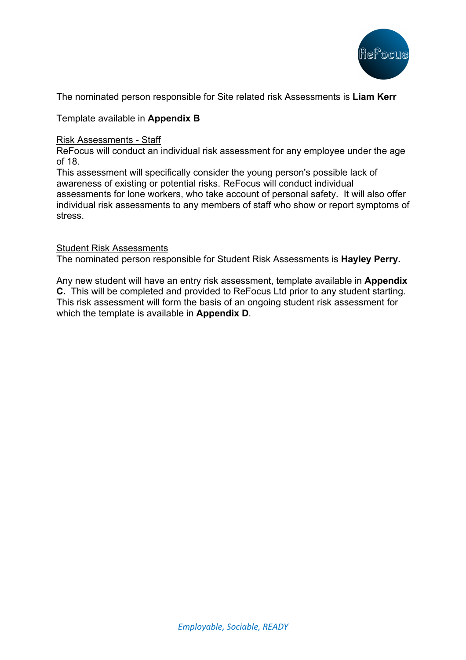

The nominated person responsible for Site related risk Assessments is **Liam Kerr**

#### Template available in **Appendix B**

#### Risk Assessments - Staff

ReFocus will conduct an individual risk assessment for any employee under the age of 18.

This assessment will specifically consider the young person's possible lack of awareness of existing or potential risks. ReFocus will conduct individual assessments for lone workers, who take account of personal safety. It will also offer individual risk assessments to any members of staff who show or report symptoms of stress.

#### Student Risk Assessments

The nominated person responsible for Student Risk Assessments is **Hayley Perry.**

Any new student will have an entry risk assessment, template available in **Appendix C.** This will be completed and provided to ReFocus Ltd prior to any student starting. This risk assessment will form the basis of an ongoing student risk assessment for which the template is available in **Appendix D**.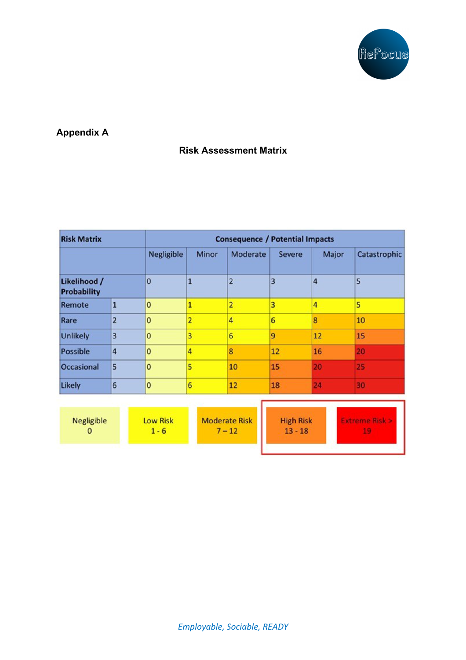

## **Appendix A**

### **Risk Assessment Matrix**

| <b>Risk Matrix</b>                 |                | <b>Consequence / Potential Impacts</b> |                |                 |               |       |              |
|------------------------------------|----------------|----------------------------------------|----------------|-----------------|---------------|-------|--------------|
|                                    |                | <b>Negligible</b>                      | <b>Minor</b>   | <b>Moderate</b> | <b>Severe</b> | Major | Catastrophic |
| Likelihood /<br><b>Probability</b> |                | 0                                      | $\mathbf{1}$   | $\overline{a}$  | 3             | 4     | 5            |
| Remote                             | 1              | $\bf{0}$                               | 1              | $\overline{a}$  | 3             | 4     | 5            |
| Rare                               | $\overline{2}$ | $\overline{0}$                         | $\overline{2}$ | 4               | 6             | 8     | 10           |
| <b>Unlikely</b>                    | 3              | $\bf{0}$                               | 3              | 6               | 9             | 12    | 15           |
| <b>Possible</b>                    | 4              | $\overline{0}$                         | 4              | 8               | 12            | 16    | 20           |
| <b>Occasional</b>                  | 5              | $\overline{\mathbf{0}}$                | 5              | 10              | 15            | 20    | 25           |
| <b>Likely</b>                      | 6              | $\bf{0}$                               | 6              | 12              | 18            | 24    | 30           |

| Negligible | <b>Low Risk</b><br>- 6 | Moderate Risk<br>$-12$ | <b>High Risk</b><br>$13 - 18$ |  |
|------------|------------------------|------------------------|-------------------------------|--|
|            |                        |                        |                               |  |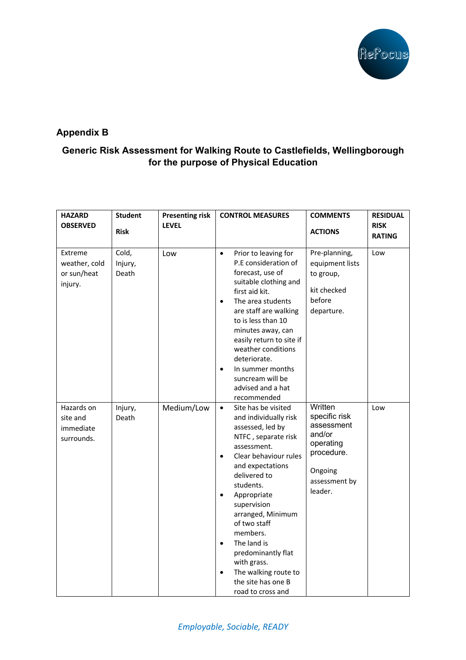

### **Appendix B**

### **Generic Risk Assessment for Walking Route to Castlefields, Wellingborough for the purpose of Physical Education**

| <b>HAZARD</b><br><b>OBSERVED</b>                   | <b>Student</b>            | <b>Presenting risk</b><br><b>LEVEL</b> | <b>CONTROL MEASURES</b>                                                                                                                                                                                                                                                                                                                                                                                                                                 | <b>COMMENTS</b>                                                                                                    | <b>RESIDUAL</b><br><b>RISK</b> |
|----------------------------------------------------|---------------------------|----------------------------------------|---------------------------------------------------------------------------------------------------------------------------------------------------------------------------------------------------------------------------------------------------------------------------------------------------------------------------------------------------------------------------------------------------------------------------------------------------------|--------------------------------------------------------------------------------------------------------------------|--------------------------------|
|                                                    | <b>Risk</b>               |                                        |                                                                                                                                                                                                                                                                                                                                                                                                                                                         | <b>ACTIONS</b>                                                                                                     | <b>RATING</b>                  |
| Extreme<br>weather, cold<br>or sun/heat<br>injury. | Cold,<br>Injury,<br>Death | Low                                    | Prior to leaving for<br>$\bullet$<br>P.E consideration of<br>forecast, use of<br>suitable clothing and<br>first aid kit.<br>The area students<br>$\bullet$<br>are staff are walking<br>to is less than 10<br>minutes away, can<br>easily return to site if<br>weather conditions<br>deteriorate.<br>In summer months<br>$\bullet$<br>suncream will be<br>advised and a hat<br>recommended                                                               | Pre-planning,<br>equipment lists<br>to group,<br>kit checked<br>before<br>departure.                               | Low                            |
| Hazards on<br>site and<br>immediate<br>surrounds.  | Injury,<br>Death          | Medium/Low                             | Site has be visited<br>$\bullet$<br>and individually risk<br>assessed, led by<br>NTFC, separate risk<br>assessment.<br>Clear behaviour rules<br>$\bullet$<br>and expectations<br>delivered to<br>students.<br>Appropriate<br>$\bullet$<br>supervision<br>arranged, Minimum<br>of two staff<br>members.<br>The land is<br>$\bullet$<br>predominantly flat<br>with grass.<br>The walking route to<br>$\bullet$<br>the site has one B<br>road to cross and | Written<br>specific risk<br>assessment<br>and/or<br>operating<br>procedure.<br>Ongoing<br>assessment by<br>leader. | Low                            |

*Employable, Sociable, READY*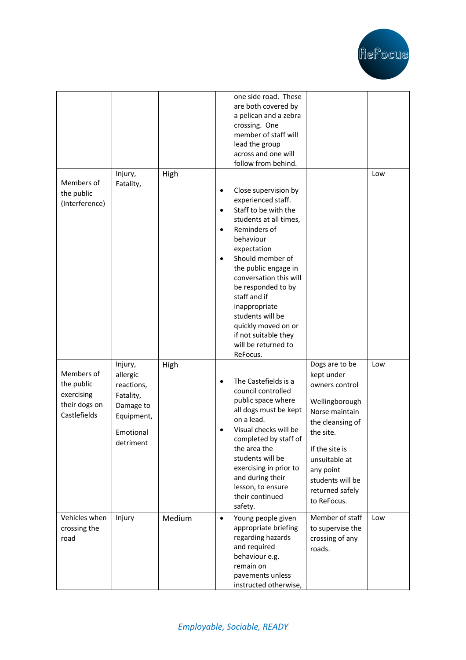

|                                                                         |                                                                                                     |        |                                                  | one side road. These<br>are both covered by<br>a pelican and a zebra<br>crossing. One<br>member of staff will<br>lead the group<br>across and one will<br>follow from behind.                                                                                                                                                                                               |                                                                                                                                                                                                                           |     |
|-------------------------------------------------------------------------|-----------------------------------------------------------------------------------------------------|--------|--------------------------------------------------|-----------------------------------------------------------------------------------------------------------------------------------------------------------------------------------------------------------------------------------------------------------------------------------------------------------------------------------------------------------------------------|---------------------------------------------------------------------------------------------------------------------------------------------------------------------------------------------------------------------------|-----|
| Members of<br>the public<br>(Interference)                              | Injury,<br>Fatality,                                                                                | High   | $\bullet$<br>$\bullet$<br>$\bullet$<br>$\bullet$ | Close supervision by<br>experienced staff.<br>Staff to be with the<br>students at all times,<br>Reminders of<br>behaviour<br>expectation<br>Should member of<br>the public engage in<br>conversation this will<br>be responded to by<br>staff and if<br>inappropriate<br>students will be<br>quickly moved on or<br>if not suitable they<br>will be returned to<br>ReFocus. |                                                                                                                                                                                                                           | Low |
| Members of<br>the public<br>exercising<br>their dogs on<br>Castlefields | Injury,<br>allergic<br>reactions,<br>Fatality,<br>Damage to<br>Equipment,<br>Emotional<br>detriment | High   | $\bullet$                                        | The Castefields is a<br>council controlled<br>public space where<br>all dogs must be kept<br>on a lead.<br>Visual checks will be<br>completed by staff of<br>the area the<br>students will be<br>exercising in prior to<br>and during their<br>lesson, to ensure<br>their continued<br>safety.                                                                              | Dogs are to be<br>kept under<br>owners control<br>Wellingborough<br>Norse maintain<br>the cleansing of<br>the site.<br>If the site is<br>unsuitable at<br>any point<br>students will be<br>returned safely<br>to ReFocus. | Low |
| Vehicles when<br>crossing the<br>road                                   | Injury                                                                                              | Medium | $\bullet$                                        | Young people given<br>appropriate briefing<br>regarding hazards<br>and required<br>behaviour e.g.<br>remain on<br>pavements unless<br>instructed otherwise,                                                                                                                                                                                                                 | Member of staff<br>to supervise the<br>crossing of any<br>roads.                                                                                                                                                          | Low |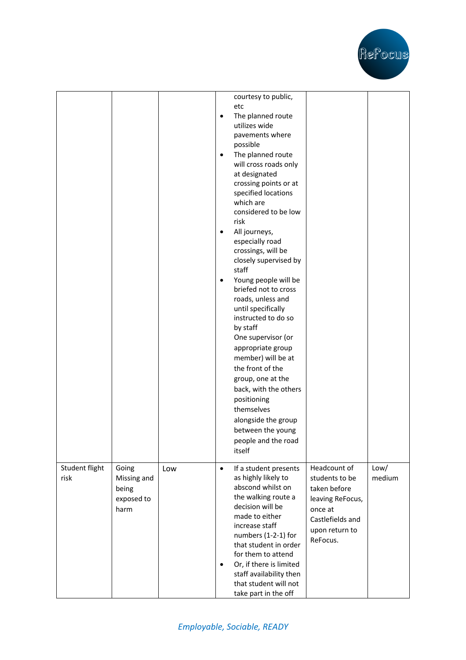

|                        |                                                     |     | $\bullet$<br>$\bullet$<br>$\bullet$<br>$\bullet$ | courtesy to public,<br>etc<br>The planned route<br>utilizes wide<br>pavements where<br>possible<br>The planned route<br>will cross roads only<br>at designated<br>crossing points or at<br>specified locations<br>which are<br>considered to be low<br>risk<br>All journeys,<br>especially road<br>crossings, will be<br>closely supervised by<br>staff<br>Young people will be<br>briefed not to cross<br>roads, unless and<br>until specifically<br>instructed to do so<br>by staff<br>One supervisor (or<br>appropriate group<br>member) will be at<br>the front of the<br>group, one at the<br>back, with the others<br>positioning<br>themselves<br>alongside the group<br>between the young<br>people and the road<br>itself |                                                                                                                                 |                |
|------------------------|-----------------------------------------------------|-----|--------------------------------------------------|------------------------------------------------------------------------------------------------------------------------------------------------------------------------------------------------------------------------------------------------------------------------------------------------------------------------------------------------------------------------------------------------------------------------------------------------------------------------------------------------------------------------------------------------------------------------------------------------------------------------------------------------------------------------------------------------------------------------------------|---------------------------------------------------------------------------------------------------------------------------------|----------------|
| Student flight<br>risk | Going<br>Missing and<br>being<br>exposed to<br>harm | Low | $\bullet$<br>$\bullet$                           | If a student presents<br>as highly likely to<br>abscond whilst on<br>the walking route a<br>decision will be<br>made to either<br>increase staff<br>numbers (1-2-1) for<br>that student in order<br>for them to attend<br>Or, if there is limited<br>staff availability then<br>that student will not<br>take part in the off                                                                                                                                                                                                                                                                                                                                                                                                      | Headcount of<br>students to be<br>taken before<br>leaving ReFocus,<br>once at<br>Castlefields and<br>upon return to<br>ReFocus. | Low/<br>medium |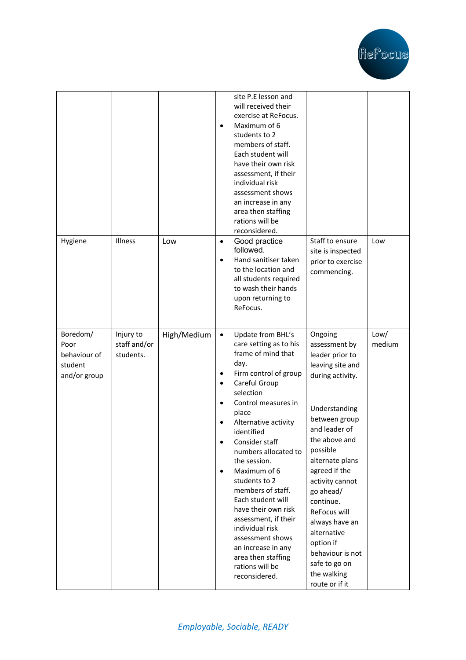

|                                                             |                                        |             | $\bullet$                                                          | site P.E lesson and<br>will received their<br>exercise at ReFocus.<br>Maximum of 6<br>students to 2<br>members of staff.<br>Each student will<br>have their own risk<br>assessment, if their<br>individual risk<br>assessment shows<br>an increase in any<br>area then staffing<br>rations will be<br>reconsidered.                                                                                                                                                                                               |                                                                                                                                                                                                                                                                                                                                                                                          |                |
|-------------------------------------------------------------|----------------------------------------|-------------|--------------------------------------------------------------------|-------------------------------------------------------------------------------------------------------------------------------------------------------------------------------------------------------------------------------------------------------------------------------------------------------------------------------------------------------------------------------------------------------------------------------------------------------------------------------------------------------------------|------------------------------------------------------------------------------------------------------------------------------------------------------------------------------------------------------------------------------------------------------------------------------------------------------------------------------------------------------------------------------------------|----------------|
| Hygiene                                                     | Illness                                | Low         | $\bullet$<br>$\bullet$                                             | Good practice<br>followed.<br>Hand sanitiser taken<br>to the location and<br>all students required<br>to wash their hands<br>upon returning to<br>ReFocus.                                                                                                                                                                                                                                                                                                                                                        | Staff to ensure<br>site is inspected<br>prior to exercise<br>commencing.                                                                                                                                                                                                                                                                                                                 | Low            |
| Boredom/<br>Poor<br>behaviour of<br>student<br>and/or group | Injury to<br>staff and/or<br>students. | High/Medium | $\bullet$<br>٠<br>$\bullet$<br>$\bullet$<br>$\bullet$<br>$\bullet$ | Update from BHL's<br>care setting as to his<br>frame of mind that<br>day.<br>Firm control of group<br>Careful Group<br>selection<br>Control measures in<br>place<br>Alternative activity<br>identified<br>Consider staff<br>numbers allocated to<br>the session.<br>Maximum of 6<br>students to 2<br>members of staff.<br>Each student will<br>have their own risk<br>assessment, if their<br>individual risk<br>assessment shows<br>an increase in any<br>area then staffing<br>rations will be<br>reconsidered. | Ongoing<br>assessment by<br>leader prior to<br>leaving site and<br>during activity.<br>Understanding<br>between group<br>and leader of<br>the above and<br>possible<br>alternate plans<br>agreed if the<br>activity cannot<br>go ahead/<br>continue.<br>ReFocus will<br>always have an<br>alternative<br>option if<br>behaviour is not<br>safe to go on<br>the walking<br>route or if it | Low/<br>medium |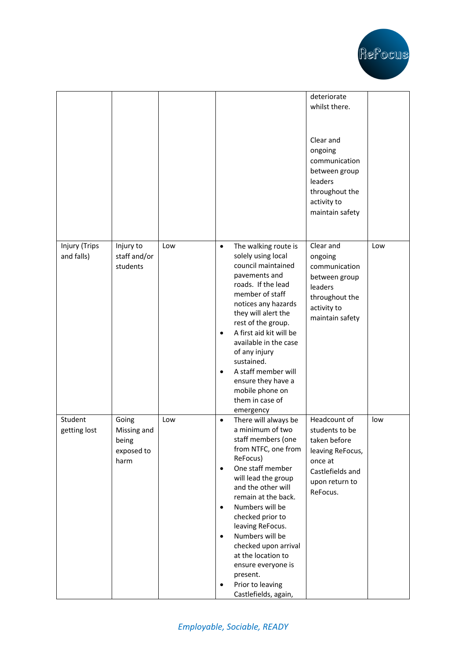

|                             |                                                     |     |                                                       |                                                                                                                                                                                                                                                                                                                                                                                                     | deteriorate<br>whilst there.                                                                                                    |     |
|-----------------------------|-----------------------------------------------------|-----|-------------------------------------------------------|-----------------------------------------------------------------------------------------------------------------------------------------------------------------------------------------------------------------------------------------------------------------------------------------------------------------------------------------------------------------------------------------------------|---------------------------------------------------------------------------------------------------------------------------------|-----|
|                             |                                                     |     |                                                       |                                                                                                                                                                                                                                                                                                                                                                                                     | Clear and<br>ongoing<br>communication<br>between group<br>leaders<br>throughout the<br>activity to<br>maintain safety           |     |
| Injury (Trips<br>and falls) | Injury to<br>staff and/or<br>students               | Low | $\bullet$<br>$\bullet$<br>$\bullet$                   | The walking route is<br>solely using local<br>council maintained<br>pavements and<br>roads. If the lead<br>member of staff<br>notices any hazards<br>they will alert the<br>rest of the group.<br>A first aid kit will be<br>available in the case<br>of any injury<br>sustained.<br>A staff member will<br>ensure they have a<br>mobile phone on<br>them in case of<br>emergency                   | Clear and<br>ongoing<br>communication<br>between group<br>leaders<br>throughout the<br>activity to<br>maintain safety           | Low |
| Student<br>getting lost     | Going<br>Missing and<br>being<br>exposed to<br>harm | Low | $\bullet$<br>$\bullet$<br>$\bullet$<br>$\bullet$<br>٠ | There will always be<br>a minimum of two<br>staff members (one<br>from NTFC, one from<br>ReFocus)<br>One staff member<br>will lead the group<br>and the other will<br>remain at the back.<br>Numbers will be<br>checked prior to<br>leaving ReFocus.<br>Numbers will be<br>checked upon arrival<br>at the location to<br>ensure everyone is<br>present.<br>Prior to leaving<br>Castlefields, again, | Headcount of<br>students to be<br>taken before<br>leaving ReFocus,<br>once at<br>Castlefields and<br>upon return to<br>ReFocus. | low |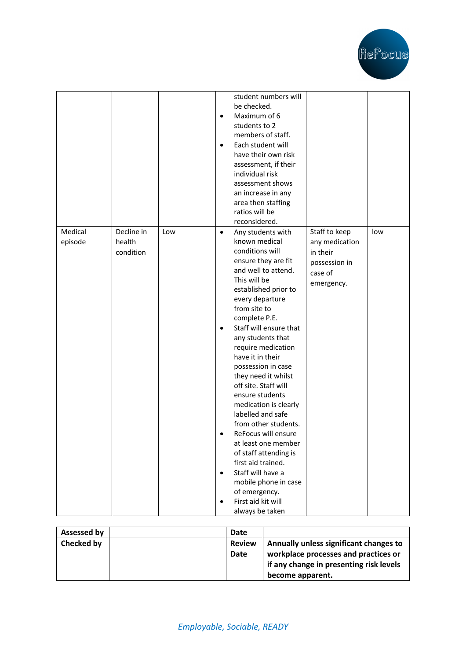

|         |            |     |           | student numbers will                  |                |     |
|---------|------------|-----|-----------|---------------------------------------|----------------|-----|
|         |            |     |           | be checked.                           |                |     |
|         |            |     | $\bullet$ | Maximum of 6                          |                |     |
|         |            |     |           | students to 2                         |                |     |
|         |            |     |           | members of staff.                     |                |     |
|         |            |     | $\bullet$ | Each student will                     |                |     |
|         |            |     |           | have their own risk                   |                |     |
|         |            |     |           | assessment, if their                  |                |     |
|         |            |     |           | individual risk                       |                |     |
|         |            |     |           | assessment shows                      |                |     |
|         |            |     |           | an increase in any                    |                |     |
|         |            |     |           | area then staffing                    |                |     |
|         |            |     |           | ratios will be                        |                |     |
|         |            |     |           | reconsidered.                         |                |     |
| Medical | Decline in | Low | $\bullet$ | Any students with                     | Staff to keep  | low |
| episode | health     |     |           | known medical                         | any medication |     |
|         | condition  |     |           | conditions will                       | in their       |     |
|         |            |     |           | ensure they are fit                   | possession in  |     |
|         |            |     |           | and well to attend.                   | case of        |     |
|         |            |     |           | This will be                          |                |     |
|         |            |     |           | established prior to                  | emergency.     |     |
|         |            |     |           | every departure                       |                |     |
|         |            |     |           | from site to                          |                |     |
|         |            |     |           | complete P.E.                         |                |     |
|         |            |     | $\bullet$ | Staff will ensure that                |                |     |
|         |            |     |           | any students that                     |                |     |
|         |            |     |           | require medication                    |                |     |
|         |            |     |           | have it in their                      |                |     |
|         |            |     |           | possession in case                    |                |     |
|         |            |     |           | they need it whilst                   |                |     |
|         |            |     |           | off site. Staff will                  |                |     |
|         |            |     |           | ensure students                       |                |     |
|         |            |     |           | medication is clearly                 |                |     |
|         |            |     |           | labelled and safe                     |                |     |
|         |            |     |           | from other students.                  |                |     |
|         |            |     | $\bullet$ | ReFocus will ensure                   |                |     |
|         |            |     |           | at least one member                   |                |     |
|         |            |     |           | of staff attending is                 |                |     |
|         |            |     |           | first aid trained.                    |                |     |
|         |            |     | $\bullet$ | Staff will have a                     |                |     |
|         |            |     |           |                                       |                |     |
|         |            |     |           | mobile phone in case<br>of emergency. |                |     |
|         |            |     |           | First aid kit will                    |                |     |
|         |            |     | $\bullet$ |                                       |                |     |
|         |            |     |           | always be taken                       |                |     |

| Assessed by | Date          |                                         |
|-------------|---------------|-----------------------------------------|
| Checked by  | <b>Review</b> | Annually unless significant changes to  |
|             | Date          | workplace processes and practices or    |
|             |               | if any change in presenting risk levels |
|             |               | become apparent.                        |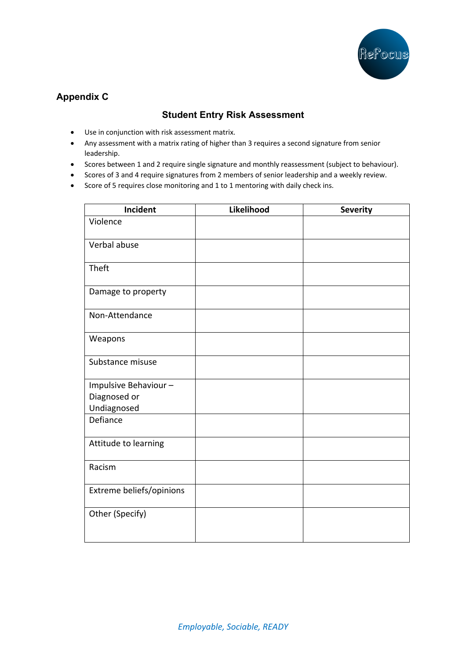

## **Appendix C**

### **Student Entry Risk Assessment**

- Use in conjunction with risk assessment matrix.
- Any assessment with a matrix rating of higher than 3 requires a second signature from senior leadership.
- Scores between 1 and 2 require single signature and monthly reassessment (subject to behaviour).
- Scores of 3 and 4 require signatures from 2 members of senior leadership and a weekly review.
- Score of 5 requires close monitoring and 1 to 1 mentoring with daily check ins.

| <b>Incident</b>          | Likelihood | <b>Severity</b> |
|--------------------------|------------|-----------------|
| Violence                 |            |                 |
| Verbal abuse             |            |                 |
| Theft                    |            |                 |
| Damage to property       |            |                 |
| Non-Attendance           |            |                 |
| Weapons                  |            |                 |
| Substance misuse         |            |                 |
| Impulsive Behaviour-     |            |                 |
| Diagnosed or             |            |                 |
| Undiagnosed              |            |                 |
| Defiance                 |            |                 |
| Attitude to learning     |            |                 |
| Racism                   |            |                 |
| Extreme beliefs/opinions |            |                 |
| Other (Specify)          |            |                 |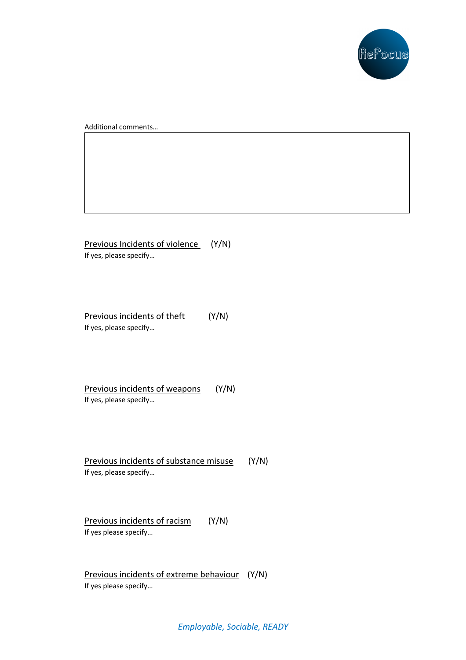

Additional comments…

Previous Incidents of violence (Y/N) If yes, please specify…

Previous incidents of theft (Y/N) If yes, please specify…

Previous incidents of weapons (Y/N) If yes, please specify…

Previous incidents of substance misuse (Y/N) If yes, please specify…

Previous incidents of racism (Y/N) If yes please specify…

Previous incidents of extreme behaviour (Y/N) If yes please specify…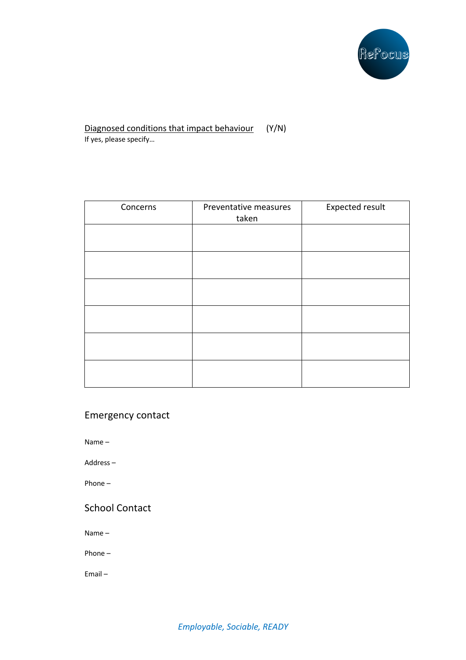

#### Diagnosed conditions that impact behaviour (Y/N) If yes, please specify…

| Concerns | Preventative measures<br>taken | <b>Expected result</b> |
|----------|--------------------------------|------------------------|
|          |                                |                        |
|          |                                |                        |
|          |                                |                        |
|          |                                |                        |
|          |                                |                        |
|          |                                |                        |

### Emergency contact

Name –

Address –

Phone –

## School Contact

Name –

Phone –

Email –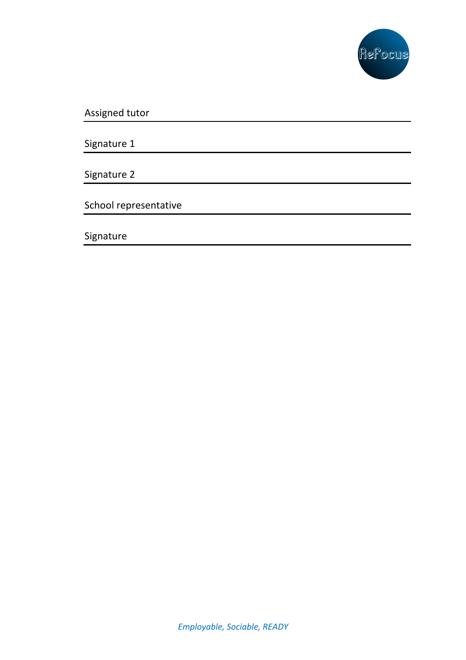

Assigned tutor

Signature 1

Signature 2

School representative

Signature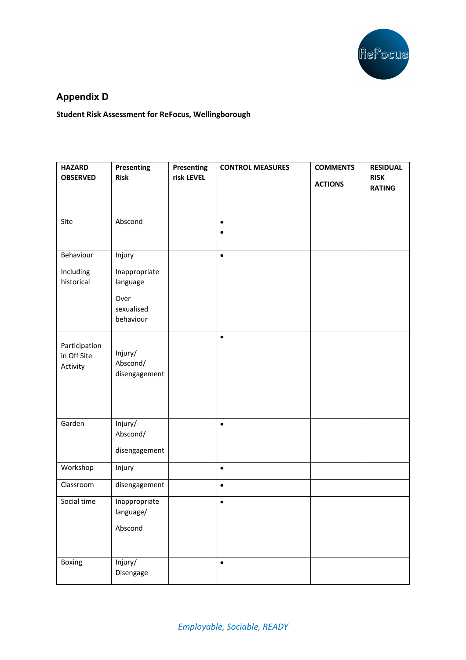

# **Appendix D**

**Student Risk Assessment for ReFocus, Wellingborough** 

| <b>OBSERVED</b><br><b>Risk</b><br>risk LEVEL<br><b>RISK</b><br><b>ACTIONS</b><br><b>RATING</b> |  |
|------------------------------------------------------------------------------------------------|--|
|                                                                                                |  |
|                                                                                                |  |
|                                                                                                |  |
| Abscond<br>Site                                                                                |  |
|                                                                                                |  |
| Behaviour<br>Injury<br>$\bullet$                                                               |  |
| Including<br>Inappropriate                                                                     |  |
| historical<br>language                                                                         |  |
| Over                                                                                           |  |
| sexualised                                                                                     |  |
| behaviour                                                                                      |  |
| $\bullet$                                                                                      |  |
| Participation<br>Injury/<br>in Off Site                                                        |  |
| Abscond/<br>Activity                                                                           |  |
| disengagement                                                                                  |  |
|                                                                                                |  |
|                                                                                                |  |
| Injury/<br>Garden<br>$\bullet$                                                                 |  |
| Abscond/                                                                                       |  |
| disengagement                                                                                  |  |
| Workshop<br>Injury<br>$\bullet$                                                                |  |
| Classroom<br>disengagement<br>$\bullet$                                                        |  |
| Social time<br>Inappropriate<br>$\bullet$                                                      |  |
| language/                                                                                      |  |
| Abscond                                                                                        |  |
|                                                                                                |  |
| Injury/<br>Boxing<br>$\bullet$                                                                 |  |
| Disengage                                                                                      |  |

*Employable, Sociable, READY*